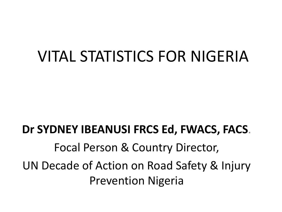### VITAL STATISTICS FOR NIGERIA

### **Dr SYDNEY IBEANUSI FRCS Ed, FWACS, FACS**. Focal Person & Country Director, UN Decade of Action on Road Safety & Injury Prevention Nigeria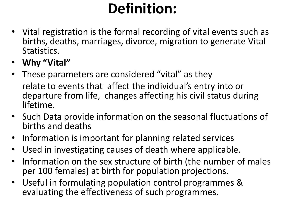### **Definition:**

- Vital registration is the formal recording of vital events such as births, deaths, marriages, divorce, migration to generate Vital Statistics.
- **Why "Vital"**
- These parameters are considered "vital" as they relate to events that affect the individual's entry into or departure from life, changes affecting his civil status during lifetime.
- Such Data provide information on the seasonal fluctuations of births and deaths
- Information is important for planning related services
- Used in investigating causes of death where applicable.
- Information on the sex structure of birth (the number of males per 100 females) at birth for population projections.
- Useful in formulating population control programmes & evaluating the effectiveness of such programmes.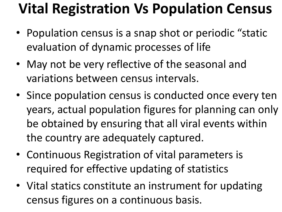### **Vital Registration Vs Population Census**

- Population census is a snap shot or periodic "static evaluation of dynamic processes of life
- May not be very reflective of the seasonal and variations between census intervals.
- Since population census is conducted once every ten years, actual population figures for planning can only be obtained by ensuring that all viral events within the country are adequately captured.
- Continuous Registration of vital parameters is required for effective updating of statistics
- Vital statics constitute an instrument for updating census figures on a continuous basis.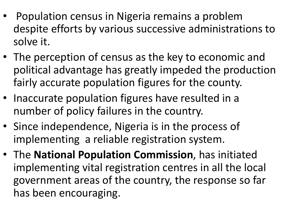- Population census in Nigeria remains a problem despite efforts by various successive administrations to solve it.
- The perception of census as the key to economic and political advantage has greatly impeded the production fairly accurate population figures for the county.
- Inaccurate population figures have resulted in a number of policy failures in the country.
- Since independence, Nigeria is in the process of implementing a reliable registration system.
- The **National Population Commission**, has initiated implementing vital registration centres in all the local government areas of the country, the response so far has been encouraging.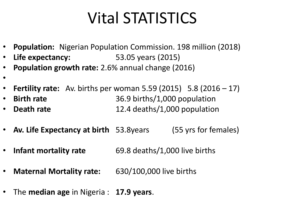# Vital STATISTICS

- **Population:** Nigerian Population Commission. 198 million (2018)
- **Life expectancy:** 53.05 years (2015)
- **Population growth rate:** 2.6% annual change (2016)
- •
- **Fertility rate:** Av. births per woman 5.59 (2015) 5.8 (2016 17)
- **Birth rate** 36.9 births/1,000 population • **Death rate** 12.4 deaths/1,000 population
- **Av. Life Expectancy at birth** 53.8years (55 yrs for females)
- **Infant mortality rate** 69.8 deaths/1,000 live births
- **Maternal Mortality rate:** 630/100,000 live births
- The **median age** in Nigeria : **17.9 years**.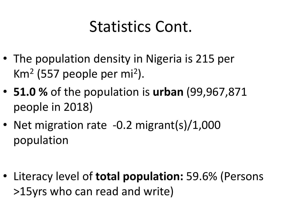## Statistics Cont.

- The population density in Nigeria is 215 per Km<sup>2</sup> (557 people per mi<sup>2</sup>).
- **51.0 %** of the population is **urban** (99,967,871 people in 2018)
- Net migration rate -0.2 migrant(s)/1,000 population

• Literacy level of **total population:** 59.6% (Persons >15yrs who can read and write)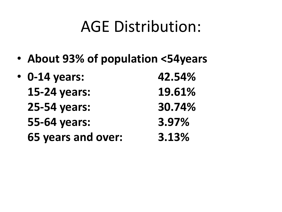### AGE Distribution:

• **About 93% of population <54years**

| $\cdot$ 0-14 years: | 42.54% |
|---------------------|--------|
| 15-24 years:        | 19.61% |
| 25-54 years:        | 30.74% |
| 55-64 years:        | 3.97%  |
| 65 years and over:  | 3.13%  |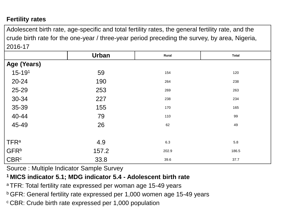#### **Fertility rates**

Adolescent birth rate, age-specific and total fertility rates, the general fertility rate, and the crude birth rate for the one-year / three-year period preceding the survey, by area, Nigeria, 2016-17

|                  | <b>Urban</b> | Rural | <b>Total</b> |
|------------------|--------------|-------|--------------|
| Age (Years)      |              |       |              |
| $15 - 191$       | 59           | 154   | 120          |
| 20-24            | 190          | 264   | 238          |
| 25-29            | 253          | 269   | 263          |
| 30-34            | 227          | 238   | 234          |
| 35-39            | 155          | 170   | 165          |
| 40-44<br>45-49   | 79           | 110   | 99           |
|                  | 26           | 62    | 49           |
|                  |              |       |              |
| <b>TFRa</b>      | 4.9          | 6.3   | 5.8          |
| <b>GFR</b> b     | 157.2        | 202.9 | 186.5        |
| CBR <sup>c</sup> | 33.8         | 39.6  | 37.7         |

Source : Multiple Indicator Sample Survey

#### **<sup>1</sup>MICS indicator 5.1; MDG indicator 5.4 - Adolescent birth rate**

- <sup>a</sup> TFR: Total fertility rate expressed per woman age 15-49 years
- **b** GFR: General fertility rate expressed per 1,000 women age 15-49 years
- c CBR: Crude birth rate expressed per 1,000 population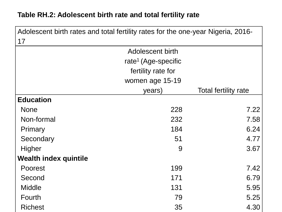#### **Table RH.2: Adolescent birth rate and total fertility rate**

| Adolescent birth rates and total fertility rates for the one-year Nigeria, 2016-<br>17 |                                 |                             |
|----------------------------------------------------------------------------------------|---------------------------------|-----------------------------|
|                                                                                        | Adolescent birth                |                             |
|                                                                                        | rate <sup>1</sup> (Age-specific |                             |
|                                                                                        | fertility rate for              |                             |
|                                                                                        | women age 15-19                 |                             |
|                                                                                        | years)                          | <b>Total fertility rate</b> |
| <b>Education</b>                                                                       |                                 |                             |
| <b>None</b>                                                                            | 228                             | 7.22                        |
| Non-formal                                                                             | 232                             | 7.58                        |
| Primary                                                                                | 184                             | 6.24                        |
| Secondary                                                                              | 51                              | 4.77                        |
| Higher                                                                                 | 9                               | 3.67                        |
| <b>Wealth index quintile</b>                                                           |                                 |                             |
| <b>Poorest</b>                                                                         | 199                             | 7.42                        |
| Second                                                                                 | 171                             | 6.79                        |
| <b>Middle</b>                                                                          | 131                             | 5.95                        |
| Fourth                                                                                 | 79                              | 5.25                        |
| <b>Richest</b>                                                                         | 35                              | 4.30                        |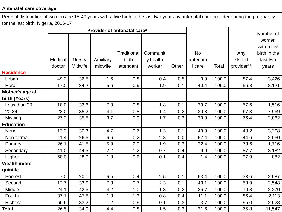#### **Antenatal care coverage**

Percent distribution of women age 15-49 years with a live birth in the last two years by antenatal care provider during the pregnancy for the last birth, Nigeria, 2016-17

|                     | Provider of antenatal care <sup>a</sup> |         |           |             |          |       |           |       | Number of               |              |
|---------------------|-----------------------------------------|---------|-----------|-------------|----------|-------|-----------|-------|-------------------------|--------------|
|                     |                                         |         |           |             |          |       |           |       |                         | women        |
|                     |                                         |         |           |             |          |       |           |       |                         | with a live  |
|                     |                                         |         |           | Traditional | Communit |       | <b>No</b> |       | Any                     | birth in the |
|                     | Medical                                 | Nurse/  | Auxiliary | birth       | y health |       | antenata  |       | skilled                 | last two     |
|                     | doctor                                  | Midwife | midwife   | attendant   | worker   | Other | I care    | Total | provider <sup>1,b</sup> | years        |
| <b>Residence</b>    |                                         |         |           |             |          |       |           |       |                         |              |
| Urban               | 49.2                                    | 36.5    | 1.6       | 0.8         | 0.4      | 0.5   | 10.9      | 100.0 | 87.4                    | 3,426        |
| Rural               | 17.0                                    | 34.2    | 5.6       | 0.9         | 1.9      | 0.1   | 40.4      | 100.0 | 56.8                    | 8,121        |
| Mother's age at     |                                         |         |           |             |          |       |           |       |                         |              |
| birth (Years)       |                                         |         |           |             |          |       |           |       |                         |              |
| Less than 20        | 18.0                                    | 32.6    | 7.0       | 0.8         | 1.8      | 0.1   | 39.7      | 100.0 | 57.6                    | 1,516        |
| 20-34               | 28.0                                    | 35.2    | 4.1       | 0.8         | 1.4      | 0.2   | 30.3      | 100.0 | 67.3                    | 7,969        |
| Missing             | 27.2                                    | 35.5    | 3.7       | 0.9         | 1.7      | 0.2   | 30.9      | 100.0 | 66.4                    | 2,062        |
| <b>Education</b>    |                                         |         |           |             |          |       |           |       |                         |              |
| None                | 13.2                                    | 30.3    | 4.7       | 0.6         | 1.3      | 0.1   | 49.9      | 100.0 | 48.2                    | 3,208        |
| Non-formal          | 11.4                                    | 26.6    | 6.6       | 0.2         | 2.8      | 0.0   | 52.4      | 100.0 | 44.6                    | 2,560        |
| Primary             | 26.1                                    | 41.5    | 5.9       | 2.0         | 1.9      | 0.2   | 22.4      | 100.0 | 73.6                    | 1,716        |
| Secondary           | 41.0                                    | 44.5    | 2.2       | 1.2         | 0.7      | 0.4   | 9.9       | 100.0 | 87.7                    | 3,182        |
| Higher              | 68.0                                    | 28.0    | 1.8       | 0.2         | 0.1      | 0.4   | 1.4       | 100.0 | 97.9                    | 882          |
| <b>Wealth index</b> |                                         |         |           |             |          |       |           |       |                         |              |
| quintile            |                                         |         |           |             |          |       |           |       |                         |              |
| Poorest             | 7.0                                     | 20.1    | 6.5       | 0.4         | 2.5      | 0.1   | 63.4      | 100.0 | 33.6                    | 2,587        |
| Second              | 12.7                                    | 33.9    | 7.3       | 0.7         | 2.3      | 0.1   | 43.1      | 100.0 | 53.9                    | 2,548        |
| Middle              | 24.1                                    | 42.6    | 4.2       | 1.0         | 1.3      | 0.2   | 26.7      | 100.0 | 70.8                    | 2,270        |
| Fourth              | 37.1                                    | 47.5    | 1.8       | 1.3         | 0.8      | 0.4   | 11.1      | 100.0 | 86.4                    | 2,113        |
| <b>Richest</b>      | 60.6                                    | 33.2    | 1.2       | 0.9         | 0.1      | 0.3   | 3.7       | 100.0 | 95.0                    | 2,028        |
| <b>Total</b>        | 26.5                                    | 34.9    | 4.4       | 0.8         | 1.5      | 0.2   | 31.6      | 100.0 | 65.8                    | 11,547       |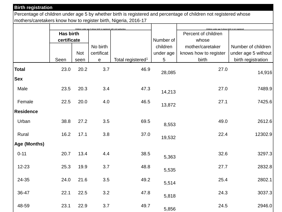#### **Birth registration**

Percentage of children under age 5 by whether birth is registered and percentage of children not registered whose mothers/caretakers know how to register birth, Nigeria, 2016-17

|                  | Children under age 5 whose birth is registered with civil authoritie |            |              | Children under age 5 whose birth is not registered |           |                       |                     |
|------------------|----------------------------------------------------------------------|------------|--------------|----------------------------------------------------|-----------|-----------------------|---------------------|
|                  | <b>Has birth</b>                                                     |            |              |                                                    |           | Percent of children   |                     |
|                  | certificate                                                          |            |              |                                                    | Number of | whose                 |                     |
|                  |                                                                      |            | No birth     |                                                    | children  | mother/caretaker      | Number of children  |
|                  |                                                                      | <b>Not</b> | certificat   |                                                    | under age | knows how to register | under age 5 without |
|                  | Seen                                                                 | seen       | $\mathbf{e}$ | Total registered <sup>1</sup>                      | 5         | birth                 | birth registration  |
| <b>Total</b>     | 23.0                                                                 | 20.2       | 3.7          | 46.9                                               | 28,085    | 27.0                  | 14,916              |
| <b>Sex</b>       |                                                                      |            |              |                                                    |           |                       |                     |
| Male             | 23.5                                                                 | 20.3       | 3.4          | 47.3                                               | 14,213    | 27.0                  | 7489.9              |
| Female           | 22.5                                                                 | 20.0       | 4.0          | 46.5                                               | 13,872    | 27.1                  | 7425.6              |
| <b>Residence</b> |                                                                      |            |              |                                                    |           |                       |                     |
| Urban            | 38.8                                                                 | 27.2       | 3.5          | 69.5                                               | 8,553     | 49.0                  | 2612.6              |
| Rural            | 16.2                                                                 | 17.1       | 3.8          | 37.0                                               | 19,532    | 22.4                  | 12302.9             |
| Age (Months)     |                                                                      |            |              |                                                    |           |                       |                     |
| $0 - 11$         | 20.7                                                                 | 13.4       | 4.4          | 38.5                                               | 5,363     | 32.6                  | 3297.3              |
| $12 - 23$        | 25.3                                                                 | 19.9       | 3.7          | 48.8                                               | 5,535     | 27.7                  | 2832.8              |
| 24-35            | 24.0                                                                 | 21.6       | 3.5          | 49.2                                               | 5,514     | 25.4                  | 2802.1              |
| 36-47            | 22.1                                                                 | 22.5       | 3.2          | 47.8                                               | 5,818     | 24.3                  | 3037.3              |
| 48-59            | 23.1                                                                 | 22.9       | 3.7          | 49.7                                               | 5,856     | 24.5                  | 2946.0              |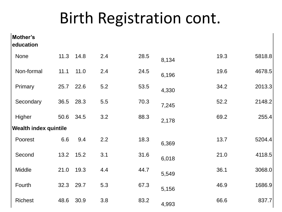## Birth Registration cont.

| Mother's<br>education        |      |           |     |      |       |      |        |
|------------------------------|------|-----------|-----|------|-------|------|--------|
| None                         | 11.3 | 14.8      | 2.4 | 28.5 | 8,134 | 19.3 | 5818.8 |
| Non-formal                   | 11.1 | 11.0      | 2.4 | 24.5 | 6,196 | 19.6 | 4678.5 |
| Primary                      | 25.7 | 22.6      | 5.2 | 53.5 | 4,330 | 34.2 | 2013.3 |
| Secondary                    | 36.5 | 28.3      | 5.5 | 70.3 | 7,245 | 52.2 | 2148.2 |
| Higher                       | 50.6 | 34.5      | 3.2 | 88.3 | 2,178 | 69.2 | 255.4  |
| <b>Wealth index quintile</b> |      |           |     |      |       |      |        |
| Poorest                      | 6.6  | 9.4       | 2.2 | 18.3 | 6,369 | 13.7 | 5204.4 |
| Second                       | 13.2 | 15.2      | 3.1 | 31.6 | 6,018 | 21.0 | 4118.5 |
| Middle                       | 21.0 | 19.3      | 4.4 | 44.7 | 5,549 | 36.1 | 3068.0 |
| Fourth                       |      | 32.3 29.7 | 5.3 | 67.3 | 5,156 | 46.9 | 1686.9 |
| <b>Richest</b>               | 48.6 | 30.9      | 3.8 | 83.2 | 4,993 | 66.6 | 837.7  |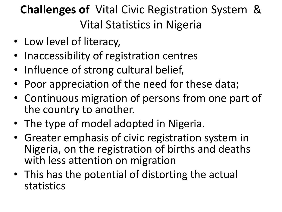### **Challenges of** Vital Civic Registration System & Vital Statistics in Nigeria

- Low level of literacy,
- Inaccessibility of registration centres
- Influence of strong cultural belief,
- Poor appreciation of the need for these data;
- Continuous migration of persons from one part of the country to another.
- The type of model adopted in Nigeria.
- Greater emphasis of civic registration system in Nigeria, on the registration of births and deaths with less attention on migration
- This has the potential of distorting the actual statistics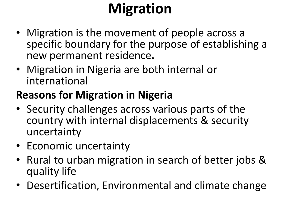# **Migration**

- Migration is the movement of people across a specific boundary for the purpose of establishing a new permanent residence**.**
- Migration in Nigeria are both internal or international

### **Reasons for Migration in Nigeria**

- Security challenges across various parts of the country with internal displacements & security uncertainty
- Economic uncertainty
- Rural to urban migration in search of better jobs & quality life
- Desertification, Environmental and climate change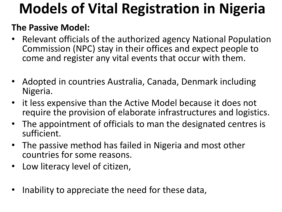## **Models of Vital Registration in Nigeria**

### **The Passive Model:**

- Relevant officials of the authorized agency National Population Commission (NPC) stay in their offices and expect people to come and register any vital events that occur with them.
- Adopted in countries Australia, Canada, Denmark including Nigeria.
- it less expensive than the Active Model because it does not require the provision of elaborate infrastructures and logistics.
- The appointment of officials to man the designated centres is sufficient.
- The passive method has failed in Nigeria and most other countries for some reasons.
- Low literacy level of citizen,
- Inability to appreciate the need for these data,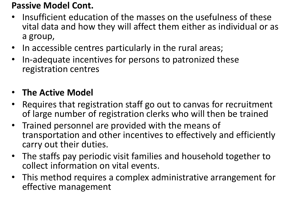### **Passive Model Cont.**

- Insufficient education of the masses on the usefulness of these vital data and how they will affect them either as individual or as a group,
- In accessible centres particularly in the rural areas;
- In-adequate incentives for persons to patronized these registration centres

### • **The Active Model**

- Requires that registration staff go out to canvas for recruitment of large number of registration clerks who will then be trained
- Trained personnel are provided with the means of transportation and other incentives to effectively and efficiently carry out their duties.
- The staffs pay periodic visit families and household together to collect information on vital events.
- This method requires a complex administrative arrangement for effective management